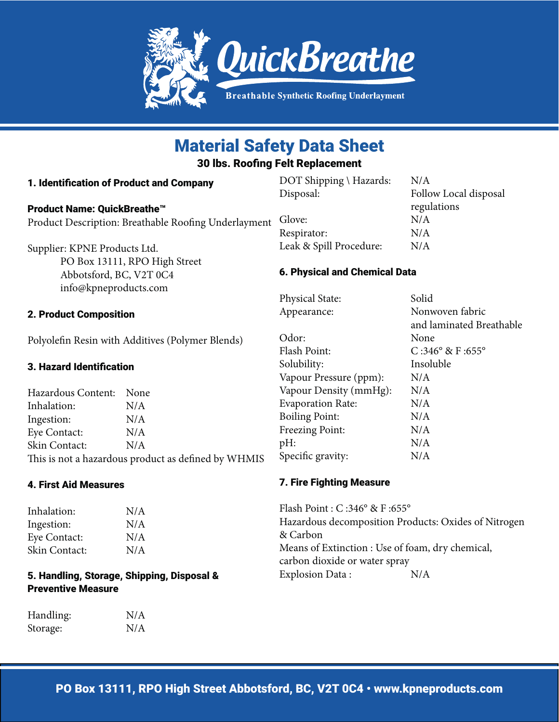

# Material Safety Data Sheet

30 lbs. Roofing Felt Replacement

| 1. Identification of Product and Company             | DOT Shipping \ Hazards:              | N/A                   |
|------------------------------------------------------|--------------------------------------|-----------------------|
|                                                      | Disposal:                            | Follow Local disposal |
| Product Name: QuickBreathe <sup>™</sup>              |                                      | regulations           |
| Product Description: Breathable Roofing Underlayment | Glove:                               | N/A                   |
|                                                      | Respirator:                          | N/A                   |
| Supplier: KPNE Products Ltd.                         | Leak & Spill Procedure:              | N/A                   |
| PO Box 13111, RPO High Street                        |                                      |                       |
| Abbotsford, BC, V2T 0C4                              | <b>6. Physical and Chemical Data</b> |                       |
| info@kpneproducts.com                                |                                      |                       |

# 2. Product Composition

Polyolefin Resin with Additives (Polymer Blends)

## 3. Hazard Identification

Hazardous Content: None Inhalation: N/A Ingestion: N/A Eye Contact: N/A Skin Contact: N/A This is not a hazardous product as defined by WHMIS

## 4. First Aid Measures

Inhalation: N/A Ingestion: N/A Eye Contact: N/A Skin Contact: N/A

# 5. Handling, Storage, Shipping, Disposal & **Preventive Measure**

| Handling: | N/A |
|-----------|-----|
| Storage:  | N/A |

Physical State: Solid Appearance: Nonwoven fabric

 and laminated Breathable Odor: None Flash Point: C:346° & F:655° Solubility: Insoluble Vapour Pressure (ppm): N/A Vapour Density (mmHg): N/A Evaporation Rate: N/A Boiling Point: N/A Freezing Point: N/A pH: N/A Specific gravity: N/A

# 7. Fire Fighting Measure

Flash Point : C :346° & F :655° Hazardous decomposition Products: Oxides of Nitrogen & Carbon Means of Extinction : Use of foam, dry chemical, carbon dioxide or water spray Explosion Data : N/A